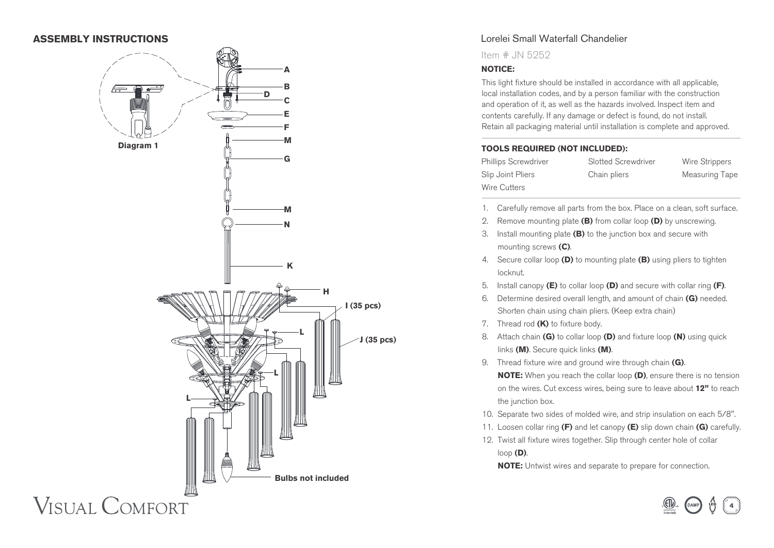# **ASSEMBLY INSTRUCTIONS**



# Lorelei Small Waterfall Chandelier

Item # JN 5252

### **A NOTICE:**

This light fixture should be installed in accordance with all applicable, local installation codes, and by a person familiar with the construction and operation of it, as well as the hazards involved. Inspect item and contents carefully. If any damage or defect is found, do not install. Retain all packaging material until installation is complete and approved.

#### **TOOLS REQUIRED (NOT INCLUDED):**

Phillips Screwdriver Slotted Screwdriver Wire Strippers Slip Joint Pliers Chain pliers Measuring Tape Wire Cutters

- 1. Carefully remove all parts from the box. Place on a clean, soft surface.
- 2. Remove mounting plate **(B)** from collar loop **(D)** by unscrewing.
- 3. Install mounting plate **(B)** to the junction box and secure with mounting screws **(C)**.
- 4. Secure collar loop **(D)** to mounting plate **(B)** using pliers to tighten locknut.
- 5. Install canopy **(E)** to collar loop **(D)** and secure with collar ring **(F)**.
- 6. Determine desired overall length, and amount of chain **(G)** needed. Shorten chain using chain pliers. (Keep extra chain)
- 7. Thread rod **(K)** to fixture body.
- 8. Attach chain **(G)** to collar loop **(D)** and fixture loop **(N)** using quick links **(M)**. Secure quick links **(M)**.
- 9. Thread fixture wire and ground wire through chain **(G)**.  **NOTE:** When you reach the collar loop **(D)**, ensure there is no tension on the wires. Cut excess wires, being sure to leave about **12"** to reach the junction box.
- 10. Separate two sides of molded wire, and strip insulation on each 5/8".
- 11. Loosen collar ring **(F)** and let canopy **(E)** slip down chain **(G)** carefully.
- 12. Twist all fixture wires together. Slip through center hole of collar loop **(D)**.

 **NOTE:** Untwist wires and separate to prepare for connection.